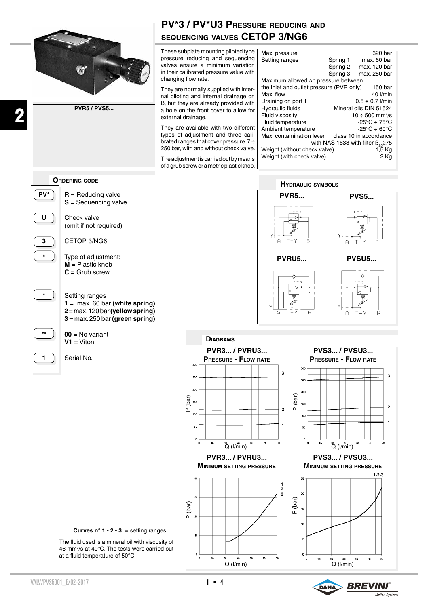

**PVR5 / PVS5...**

## **PV\*3 / PV\*U3 Pressure reducing and sequencing valves CETOP 3/NG6**

These subplate mounting piloted type [ pressure reducing and sequencing valves ensure a minimum variation in their calibrated pressure value with changing flow rate.

They are normally supplied with internal piloting and internal drainage on B, but they are already provided with a hole on the front cover to allow for external drainage.

They are available with two different types of adjustment and three calibrated ranges that cover pressure  $7 \div$ 250 bar, with and without check valve.

The adjustment is carried out by means of a grub screw or a metric plastic knob.

| Max. pressure                                 |                                        | 320 bar                |
|-----------------------------------------------|----------------------------------------|------------------------|
| Setting ranges                                | Spring 1                               | max. 60 bar            |
|                                               | Spring 2                               | max. 120 bar           |
|                                               | Spring 3                               | max. 250 bar           |
| Maximum allowed Ap pressure between           |                                        |                        |
| the inlet and outlet pressure (PVR only)      |                                        | 150 bar                |
| Max. flow                                     |                                        | 40 l/min               |
| Draining on port T                            | $0.5 \div 0.7$ <i>l/min</i>            |                        |
| Hydraulic fluids                              | Mineral oils DIN 51524                 |                        |
| Fluid viscosity                               | $10 \div 500$ mm <sup>2</sup> /s       |                        |
| Fluid temperature                             | $-25^{\circ}$ C $\div$ 75°C            |                        |
| Ambient temperature                           | $-25^{\circ}$ C $\div$ 60 $^{\circ}$ C |                        |
| Max. contamination lever                      |                                        | class 10 in accordance |
| with NAS 1638 with filter $B_{\infty} \ge 75$ |                                        |                        |
| Weight (without check valve)                  |                                        | 1.5 Kg                 |
| Weight (with check valve)                     |                                        | 2 Kg                   |
|                                               |                                        |                        |

**Ordering code**



2

 $\overline{PV^*}$  **R** = Reducing valve **S** = Sequencing valve

(omit if not required)

**3** CETOP 3/NG6

**\*** Type of adjustment: **M** = Plastic knob **C** = Grub screw

## \* **Fig. 3** Setting ranges

 **1** = max. 60 bar **(white spring) 2** = max. 120 bar **(yellow spring) 3** = max. 250 bar **(green spring)**

## $\begin{bmatrix} \star \star \\ \star \end{bmatrix}$  **00** = No variant  $V1 = V$ iton





**Curves n° 1 - 2 - 3** = setting ranges

The fluid used is a mineral oil with viscosity of 46 mm2 /s at 40°C. The tests were carried out at a fluid temperature of 50°C.

![](_page_0_Picture_24.jpeg)